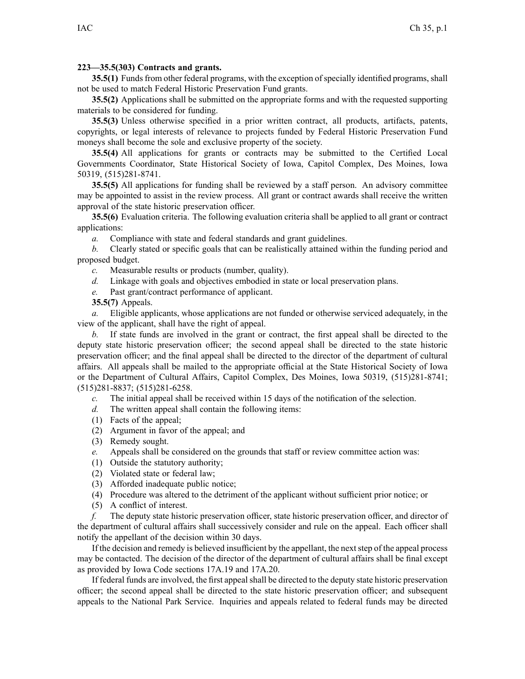## **223—35.5(303) Contracts and grants.**

**35.5(1)** Funds from other federal programs, with the exception of specially identified programs, shall not be used to match Federal Historic Preservation Fund grants.

**35.5(2)** Applications shall be submitted on the appropriate forms and with the requested supporting materials to be considered for funding.

**35.5(3)** Unless otherwise specified in <sup>a</sup> prior written contract, all products, artifacts, patents, copyrights, or legal interests of relevance to projects funded by Federal Historic Preservation Fund moneys shall become the sole and exclusive property of the society.

**35.5(4)** All applications for grants or contracts may be submitted to the Certified Local Governments Coordinator, State Historical Society of Iowa, Capitol Complex, Des Moines, Iowa 50319, (515)281-8741.

**35.5(5)** All applications for funding shall be reviewed by <sup>a</sup> staff person. An advisory committee may be appointed to assist in the review process. All gran<sup>t</sup> or contract awards shall receive the written approval of the state historic preservation officer.

**35.5(6)** Evaluation criteria. The following evaluation criteria shall be applied to all gran<sup>t</sup> or contract applications:

*a.* Compliance with state and federal standards and gran<sup>t</sup> guidelines.

*b.* Clearly stated or specific goals that can be realistically attained within the funding period and proposed budget.

- *c.* Measurable results or products (number, quality).
- *d.* Linkage with goals and objectives embodied in state or local preservation plans.
- *e.* Past grant/contract performance of applicant.

**35.5(7)** Appeals.

*a.* Eligible applicants, whose applications are not funded or otherwise serviced adequately, in the view of the applicant, shall have the right of appeal.

*b.* If state funds are involved in the gran<sup>t</sup> or contract, the first appeal shall be directed to the deputy state historic preservation officer; the second appeal shall be directed to the state historic preservation officer; and the final appeal shall be directed to the director of the department of cultural affairs. All appeals shall be mailed to the appropriate official at the State Historical Society of Iowa or the Department of Cultural Affairs, Capitol Complex, Des Moines, Iowa 50319, (515)281-8741; (515)281-8837; (515)281-6258.

*c.* The initial appeal shall be received within 15 days of the notification of the selection.

*d.* The written appeal shall contain the following items:

- (1) Facts of the appeal;
- (2) Argument in favor of the appeal; and
- (3) Remedy sought.
- *e.* Appeals shall be considered on the grounds that staff or review committee action was:
- (1) Outside the statutory authority;
- (2) Violated state or federal law;
- (3) Afforded inadequate public notice;
- (4) Procedure was altered to the detriment of the applicant without sufficient prior notice; or
- (5) A conflict of interest.

*f.* The deputy state historic preservation officer, state historic preservation officer, and director of the department of cultural affairs shall successively consider and rule on the appeal. Each officer shall notify the appellant of the decision within 30 days.

If the decision and remedy is believed insufficient by the appellant, the nextstep of the appeal process may be contacted. The decision of the director of the department of cultural affairs shall be final excep<sup>t</sup> as provided by Iowa Code sections 17A.19 and 17A.20.

If federal funds are involved, the first appealshall be directed to the deputy state historic preservation officer; the second appeal shall be directed to the state historic preservation officer; and subsequent appeals to the National Park Service. Inquiries and appeals related to federal funds may be directed